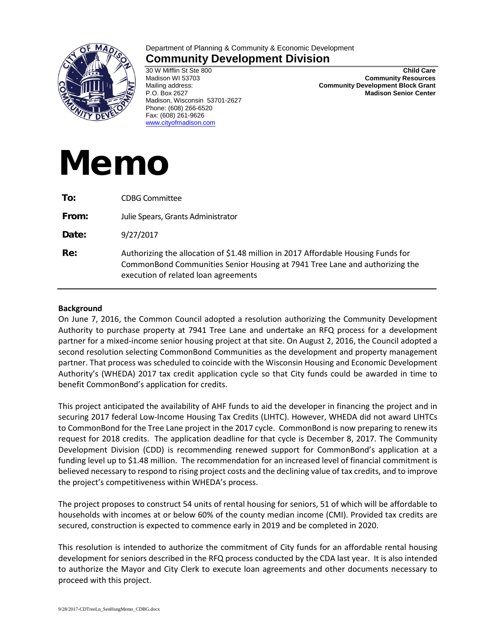

## Department of Planning & Community & Economic Development **Community Development Division**

30 W Mifflin St Ste 800 Madison WI 53703 Mailing address: P.O. Box 2627 Madison, Wisconsin 53701-2627 Phone: (608) 266-6520 Fax: (608) 261-9626 [www.cityofmadison.com](http://www.cityofmadison.com/)

**Child Care Community Resources Community Development Block Grant Madison Senior Center**

## Memo

| To:   | <b>CDBG Committee</b>                                                                                                                                                                                    |
|-------|----------------------------------------------------------------------------------------------------------------------------------------------------------------------------------------------------------|
| From: | Julie Spears, Grants Administrator                                                                                                                                                                       |
| Date: | 9/27/2017                                                                                                                                                                                                |
| Re:   | Authorizing the allocation of \$1.48 million in 2017 Affordable Housing Funds for<br>CommonBond Communities Senior Housing at 7941 Tree Lane and authorizing the<br>execution of related loan agreements |

## **Background**

On June 7, 2016, the Common Council adopted a resolution authorizing the Community Development Authority to purchase property at 7941 Tree Lane and undertake an RFQ process for a development partner for a mixed-income senior housing project at that site. On August 2, 2016, the Council adopted a second resolution selecting CommonBond Communities as the development and property management partner. That process was scheduled to coincide with the Wisconsin Housing and Economic Development Authority's (WHEDA) 2017 tax credit application cycle so that City funds could be awarded in time to benefit CommonBond's application for credits.

This project anticipated the availability of AHF funds to aid the developer in financing the project and in securing 2017 federal Low-Income Housing Tax Credits (LIHTC). However, WHEDA did not award LIHTCs to CommonBond for the Tree Lane project in the 2017 cycle. CommonBond is now preparing to renew its request for 2018 credits. The application deadline for that cycle is December 8, 2017. The Community Development Division (CDD) is recommending renewed support for CommonBond's application at a funding level up to \$1.48 million. The recommendation for an increased level of financial commitment is believed necessary to respond to rising project costs and the declining value of tax credits, and to improve the project's competitiveness within WHEDA's process.

The project proposes to construct 54 units of rental housing for seniors, 51 of which will be affordable to households with incomes at or below 60% of the county median income (CMI). Provided tax credits are secured, construction is expected to commence early in 2019 and be completed in 2020.

This resolution is intended to authorize the commitment of City funds for an affordable rental housing development for seniors described in the RFQ process conducted by the CDA last year. It is also intended to authorize the Mayor and City Clerk to execute loan agreements and other documents necessary to proceed with this project.